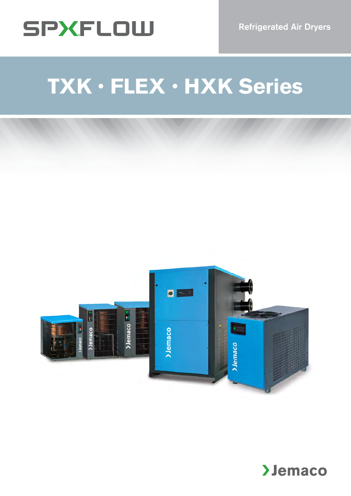

# **TXK**•**FLEX**•**HXK Series**



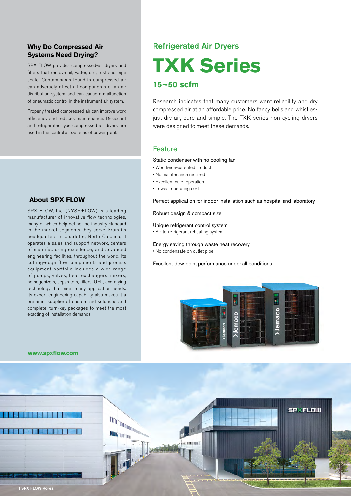### **Why Do Compressed Air Systems Need Drying?**

SPX FLOW provides compressed-air dryers and filters that remove oil, water, dirt, rust and pipe scale. Contaminants found in compressed air can adversely affect all components of an air distribution system, and can cause a malfunction of pneumatic control in the instrument air system.

Properly treated compressed air can improve work efficiency and reduces maintenance. Desiccant and refrigerated type compressed air dryers are used in the control air systems of power plants.

### **About SPX FLOW**

SPX FLOW, Inc. (NYSE:FLOW) is a leading manufacturer of innovative flow technologies, many of which help define the industry standard in the market segments they serve. From its headquarters in Charlotte, North Carolina, it operates a sales and support network, centers of manufacturing excellence, and advanced engineering facilities, throughout the world. Its cutting-edge flow components and process equipment portfolio includes a wide range of pumps, valves, heat exchangers, mixers, homogenizers, separators, filters, UHT, and drying technology that meet many application needs. Its expert engineering capability also makes it a premium supplier of customized solutions and complete, turn-key packages to meet the most exacting of installation demands.

> **DOMANTONIA**

**I** 

dos munici

## Refrigerated Air Dryers

**TXK Series**

## **15~50 scfm**

Research indicates that many customers want reliability and dry compressed air at an affordable price. No fancy bells and whistlesjust dry air, pure and simple. The TXK series non-cycling dryers were designed to meet these demands.

## Feature

Static condenser with no cooling fan

- Worldwide-patented product
- No maintenance required
- Excellent quiet operation
- Lowest operating cost

Perfect application for indoor installation such as hospital and laboratory

### Robust design & compact size

Unique refrigerant control system

• Air-to-refrigerant reheating system

Energy saving through waste heat recovery

• No condensate on outlet pipe

Excellent dew point performance under all conditions



**SPXFLOW** 

### **www.spxflow.com**

2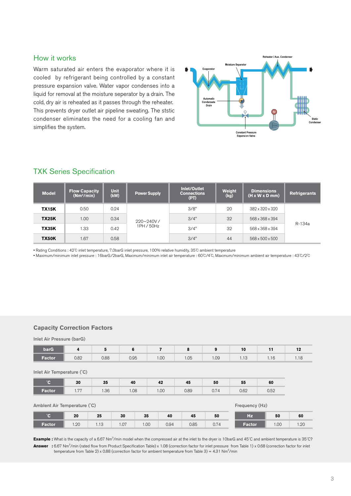## How it works

Warm saturated air enters the evaporator where it is cooled by refrigerant being controlled by a constant pressure expansion valve. Water vapor condenses into a liquid for removal at the moisture seperator by a drain. The cold, dry air is reheated as it passes through the reheater. This prevents dryer outlet air pipeline sweating. The ststic condenser eliminates the need for a cooling fan and simplifies the system.



## TXK Series Specification

| <b>Model</b> | <b>Flow Capacity</b><br>(Nm <sup>3</sup> /min) | <b>Unit</b><br>(kW) | <b>Power Supply</b> | Inlet/Outlet<br><b>Connections</b><br>(PT) | Weight<br>(kg) | <b>Dimensions</b><br>$(H \times W \times D \text{ mm})$ | <b>Refrigerants</b> |
|--------------|------------------------------------------------|---------------------|---------------------|--------------------------------------------|----------------|---------------------------------------------------------|---------------------|
| <b>TX15K</b> | 0.50                                           | 0.24                |                     | 3/8"                                       | 20             | 382 x 320 x 320                                         |                     |
| <b>TX25K</b> | 1.00                                           | 0.34                | $220 - 240V/$       | 3/4"                                       | 32             | 568 x 368 x 394                                         | R-134a              |
| <b>TX35K</b> | 1.33                                           | 0.42                | 1PH / 50Hz          | 3/4"                                       | 32             | 568 x 368 x 394                                         |                     |
| <b>TX50K</b> | 1.67                                           | 0.58                |                     | 3/4"                                       | 44             | 568 x 500 x 500                                         |                     |

• Rating Conditions : 42℃ inlet temperature, 7.0barG inlet pressure, 100% relative humidity, 35℃ ambient temperature

• Maximum/minimum inlet pressure : 16barG/2barG, Maximum/minimum inlet air temperature : 60℃/4℃, Maximum/minimum ambient air temperature : 43℃/2℃

### **Capacity Correction Factors**

### Inlet Air Pressure (barG)

| <b>barG</b> |      |      |      |                     |      |      | 10                          | . .                    |      |
|-------------|------|------|------|---------------------|------|------|-----------------------------|------------------------|------|
| /Factor     | 0.82 | 0.88 | 0.95 | $\sim$<br><b>UU</b> | 1.05 | 1.09 | $\overline{10}$<br>$\cdots$ | $\overline{1}$<br>1.10 | 1.10 |

### Inlet Air Temperature (˚C)

| $\sim$ | 30                | 25<br>υü | 40   | 42   | 45   | 50                    | 55   | 60           |
|--------|-------------------|----------|------|------|------|-----------------------|------|--------------|
| Factor | <b>DD</b><br>1.11 | 1.36     | 0.08 | 1.00 | 0.89 | $\cap$ $\Box$<br>V.74 | 0.62 | U RU<br>∪.∪∠ |

### Amblent Air Temperature (°C) et al. (\* 1999) et al. (\* 1999) et al. (\* 1999) et al. (\* 1999) et al. (\* 1999) et al. (\* 1999) et al. (\* 1999) et al. (\* 1999) et al. (\* 1999) et al. (\* 1999) et al. (\* 1999) et al. (\* 1999) e

|        | 20  | 25                     | 30   | 35   | 40   | 45   | 50            | Hz     | 50   | 60  |
|--------|-----|------------------------|------|------|------|------|---------------|--------|------|-----|
| Factor | .20 | $\overline{1}$<br>1.10 | 1.07 | 1.00 | 0.94 | 0.85 | 774<br>∪. ⊢ ¬ | Factor | 1.00 | .20 |

**Example :** What is the capacity of a 6.67 Nm<sup>3</sup>/min model when the compressed air at the inlet to the dryer is 10barG and 45℃ and ambient temperature is 35℃? **Answer :** 6.67 Nm<sup>3</sup> /min (rated flow from Product Specification Table) x 1.08 (correction factor for inlet pressure from Table 1) x 0.68 (correction factor for inlet temperature from Table 2) x 0.88 (correction factor for ambient temperature from Table 3) = 4.31 Nm<sup>3</sup>/min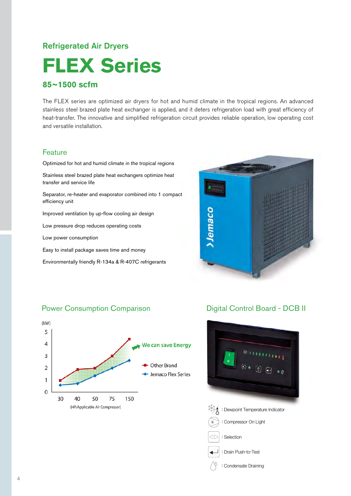## Refrigerated Air Dryers

## **FLEX Series**

### **85~1500 scfm**

The FLEX series are optimized air dryers for hot and humid climate in the tropical regions. An advanced stainless steel brazed plate heat exchanger is applied, and it deters refrigeration load with great efficiency of heat-transfer. The innovative and simplified refrigeration circuit provides reliable operation, low operating cost and versatile installation.

### **Feature**

Optimized for hot and humid climate in the tropical regions

Stainless steel brazed plate heat exchangers optimize heat transfer and service life

Separator, re-heater and evaporator combined into 1 compact efficiency unit

Improved ventilation by up-flow cooling air design

Low pressure drop reduces operating costs

Low power consumption

Easy to install package saves time and money

Environmentally friendly R-134a & R-407C refrigerants



## Power Consumption Comparison



## Digital Control Board - DCB II





: Compressor On Light

 $\triangleleft \rhd$  : Selection



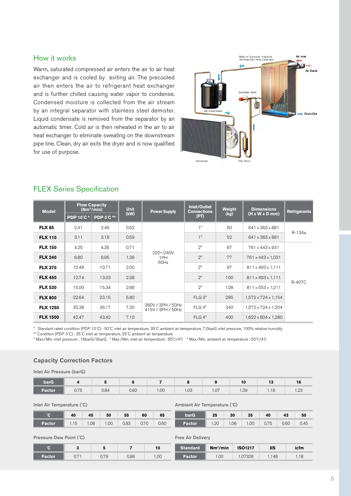## How it works

Warm, saturated compressed air enters the air to air heat exchanger and is cooled by exiting air. The precooled air then enters the air to refrigerant heat exchanger and is further chilled causing water vapor to condense. Condensed moisture is collected from the air stream by an integral separator with stainless steel demister. Liquid condensate is removed from the separator by an automatic timer. Cold air is then reheated in the air to air heat exchanger to eliminate sweating on the downstream pipe line. Clean, dry air exits the dryer and is now qualified for use of purpose.



| <b>Model</b>    |                  | <b>Flow Capacity</b><br>(Nm <sup>3</sup> /min) | <b>Unit</b> | <b>Power Supply</b>                    | <b>Inlet/Outlet</b><br><b>Connections</b> | Weight | <b>Dimensions</b>                  | <b>Refrigerants</b> |
|-----------------|------------------|------------------------------------------------|-------------|----------------------------------------|-------------------------------------------|--------|------------------------------------|---------------------|
|                 | <b>PDP 10°C*</b> | <b>PDP 3°C **</b>                              | (kW)        |                                        | (PT)                                      | (kg)   | $(H \times W \times D \text{ mm})$ |                     |
| <b>FLX 85</b>   | 2.41             | 2.46                                           | 0.52        |                                        | 1"                                        | 50     | 641 x 363 x 881                    |                     |
| <b>FLX 110</b>  | 3.11             | 3.18                                           | 0.59        |                                        | 1"                                        | 52     | 641 x 363 x 881                    | R-134a              |
| <b>FLX 150</b>  | 4.25             | 4.35                                           | 0.71        |                                        | 2"                                        | 67     | 761 x 443 x 931                    |                     |
| <b>FLX 240</b>  | 6.80             | 6.95                                           | 1.36        | $220 - 240V$<br>1PH<br>50Hz            | 2"                                        | 77     | 761 x 443 x 1,031                  |                     |
| <b>FLX 370</b>  | 10.48            | 10.71                                          | 2.00        |                                        | 2"                                        | 97     | 811 x 493 x 1,111                  |                     |
| <b>FLX 450</b>  | 12.74            | 13.03                                          | 2.38        |                                        | 2"                                        | 100    | 811 x 493 x 1,111                  | R-407C              |
| <b>FLX 530</b>  | 15.00            | 15.34                                          | 2.66        |                                        | 2"                                        | 128    | 811 x 553 x 1,211                  |                     |
| <b>FLX 800</b>  | 22.64            | 23.15                                          | 5.80        |                                        | FLG <sub>3"</sub>                         | 285    | $1,572 \times 724 \times 1,154$    |                     |
| <b>FLX 1250</b> | 35.38            | 36.17                                          | 7.30        | 380V / 3PH / 50Hz<br>415V / 3PH / 50Hz | FLG 4"                                    | 340    | 1,572 x 724 x 1,204                |                     |
| <b>FLX 1500</b> | 42.47            | 43.42                                          | 7.10        |                                        | FLG4"                                     | 400    | 1,622 x 804 x 1,280                |                     |

## FLEX Series Specification

\* Standard rated condition (PDP 10˚C) : 50˚C inlet air temperature, 35˚C ambient air temperature, 7.0barG inlet pressure, 100% relative humidity

\*\* Condition (PDP 3˚C) : 35˚C inlet air temperature, 25˚C ambient air temperature

\* Max./Min. inlet pressure : 16barG/3barG \* Max./Min. inlet air temperature : 65℃/4℃ \* Max./Min. ambient air temperature : 50℃/4℃

### **Capacity Correction Factors**

Inlet Air Pressure (barG)

| <b>barG</b> |      |      |      |      |      | $\mathbf{0}$ | 10   | $-10$<br>ю | 16             |
|-------------|------|------|------|------|------|--------------|------|------------|----------------|
| Factor      | 0.75 | 0.84 | 0.92 | 1.00 | 1.03 | 1.07         | 1.09 | 10<br>1.10 | $\sim$<br>1.20 |

Inlet Air Temperature (˚C)

|        | 40   | 45   | 50   | 55   | 60   | 65   |
|--------|------|------|------|------|------|------|
| Factor | 1.15 | 1.08 | 1.00 | 0.83 | 0.70 | 0.60 |

Ambient Air Temperature (˚C)

| barG   | 25   | 30             | 35             | 40 | 43   | 50   |
|--------|------|----------------|----------------|----|------|------|
| Factor | 1.20 | $\bigcup$ 1.06 | $1.00 \t 0.75$ |    | 0.60 | 0.45 |

Pressure Dew Point (˚C)

|        |              |    | 10   |
|--------|--------------|----|------|
| Eactor | $\mathsf{v}$ | OC | ∪∪ ו |

### Free Air Delivery

| Standard | Nm <sup>3</sup> /min | <b>ISO1217</b> | JIS   | icfm |
|----------|----------------------|----------------|-------|------|
| 'Factor' | .00                  | 1.07326        | 1.148 | 1.18 |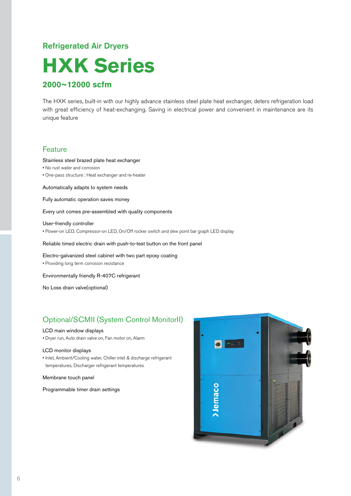## Refrigerated Air Dryers

## **HXK Series**

## **2000~12000 scfm**

The HXK series, built-in with our highly advance stainless steel plate heat exchanger, deters refrigeration load with great efficiency of heat-exchanging. Saving in electrical power and convenient in maintenance are its unique feature

### **Feature**

### Stainless steel brazed plate heat exchanger

- No rust water and corrosion
- One-pass structure : Heat exchanger and re-heater

Automatically adapts to system needs

Fully automatic operation saves money

Every unit comes pre-assembled with quality components

### User-friendly controller

• Power-on LED, Compressor-on LED, On/Off rocker switch and dew point bar graph LED display

Reliable timed electric drain with push-to-test button on the front panel

Electro-galvanized steel cabinet with two part epoxy coating

• Providing long term corrosion resistance

Environmentally friendly R-407C refrigerant

No Loss drain valve(optional)

## Optional/SCMII (System Control MonitorII)

### LCD main window displays

• Dryer run, Auto drain valve on, Fan motor on, Alarm

### LCD monitor displays

• Inlet, Ambient/Cooling water, Chiller inlet & discharge refrigerant temperatures, Discharger refrigerant temperatures

Membrane touch panel

Programmable timer drain settings

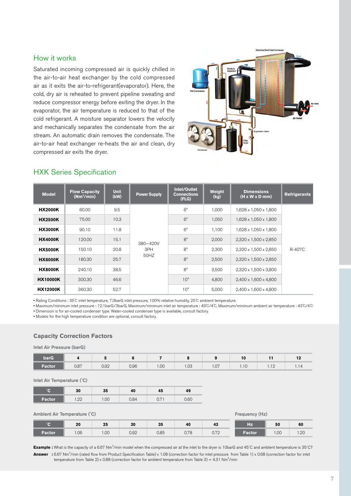## How it works

Saturated incoming compressed air is quickly chilled in the air-to-air heat exchanger by the cold compressed air as it exits the air-to-refrigerant(evaporator). Here, the cold, dry air is reheated to prevent pipeline sweating and reduce compressor energy before exiting the dryer. In the evaporator, the air temperature is reduced to that of the cold refrigerant. A moisture separator lowers the velocity and mechanically separates the condensate from the air stream. An automatic drain removes the condensate. The air-to-air heat exchanger re-heats the air and clean, dry compressed air exits the dryer.



### HXK Series Specification

| <b>Model</b>    | <b>Flow Capacity</b><br>(Mm <sup>3</sup> /min) | <b>Unit</b><br>(kW) | <b>Power Supply</b> | Inlet/Outlet<br><b>Connections</b><br>(FLG) | Weight<br>(kg) | <b>Dimensions</b><br>$(H \times W \times D \text{ mm})$ | <b>Refrigerants</b> |
|-----------------|------------------------------------------------|---------------------|---------------------|---------------------------------------------|----------------|---------------------------------------------------------|---------------------|
| <b>HX2000K</b>  | 60.00                                          | 9.5                 |                     | 6"                                          | 1,000          | 1,628 x 1,050 x 1,800                                   |                     |
| <b>HX2500K</b>  | 75.00                                          | 10.3                |                     | 6"                                          | 1,050          | 1,628 x 1,050 x 1,800                                   |                     |
| <b>HX3000K</b>  | 90.10                                          | 11.8                |                     | 6"                                          | 1,100          | 1,628 x 1,050 x 1,800                                   |                     |
| <b>HX4000K</b>  | 120.00                                         | 15.1                | $380 - 420V$        | 8"                                          | 2,000          | $2,320 \times 1,500 \times 2,850$                       |                     |
| <b>HX5000K</b>  | 150.10                                         | 20.8                | 3PH                 | 8"                                          | 2.300          | 2.320 x 1.500 x 2.850                                   | R-407C              |
| <b>HX6000K</b>  | 180.30                                         | 25.7                | 50HZ                | 8"                                          | 2,500          | 2,320 x 1,500 x 2,850                                   |                     |
| <b>HX8000K</b>  | 240.10                                         | 38.5                |                     | 8"                                          | 3,500          | 2,320 x 1,500 x 3,800                                   |                     |
| <b>HX10000K</b> | 300.30                                         | 46.6                |                     | 10"                                         | 4,800          | 2,400 x 1,600 x 4,800                                   |                     |
| <b>HX12000K</b> | 360.30                                         | 52.7                |                     | 10"                                         | 5,000          | 2,400 x 1,600 x 4,800                                   |                     |

• Rating Conditions : 35℃ inlet temperature, 7.0barG inlet pressure, 100% relative humidity, 25℃ ambient temperature.

• Maximum/minimum inlet pressure : 12.1barG/3barG, Maximum/minimum inlet air temperature : 49℃/4℃, Maximum/minimum ambient air temperature : 43℃/4℃ • Dimension is for air-cooled condenser type. Water-cooled condenser type is available, consult factory.

• Models for the high temperature condition are optional, consult factory.

### **Capacity Correction Factors**

Inlet Air Pressure (barG)

| <b>barG</b> |      |      |      |      |                |      | ιv       |                     | - -<br> |
|-------------|------|------|------|------|----------------|------|----------|---------------------|---------|
| Factor      | 0.87 | 0.92 | 0.96 | 1.00 | $\cap$<br>טט.ו | 1.07 | $\cdots$ | $\overline{1}$<br>. | .       |

Inlet Air Temperature (˚C)

| 22<br>╺ | 30                 | -35   | 4U   | 43                 | 43   |
|---------|--------------------|-------|------|--------------------|------|
| Factor  | ററ<br>. . <u>.</u> | 00. ا | 0.84 | $\sqrt{7}$<br>◡. ៸ | 0.60 |

### Amblent Air Temperature (°C) et al. (\* 1999)<br>
Amblent Air Temperature (°C) et al. (\* 1999)<br>
Frequency (Hz)

|               |     |      |      |      |      |                | _____         |      |      |
|---------------|-----|------|------|------|------|----------------|---------------|------|------|
|               | 20  | 25   | 30   | 35   | 40   | 43             | Hz            | 50   | 60   |
| <b>Factor</b> | .06 | 1.00 | 0.92 | 0.85 | 0.78 | 0.70<br>v. 1 2 | <b>Factor</b> | .00. | 1.20 |

**Example :** What is the capacity of a 6.67 Nm<sup>3</sup>/min model when the compressed air at the inlet to the dryer is 10barG and 45°C and amblent temperature is 35°C? **Answer :** 6.67 Nm<sup>3</sup> /min (rated flow from Product Specification Table) x 1.08 (correction factor for inlet pressure from Table 1) x 0.68 (correction factor for inlet temperature from Table 2) x 0.88 (correction factor for amblent temperature from Table 3) = 4.31  $Nm^3/min$